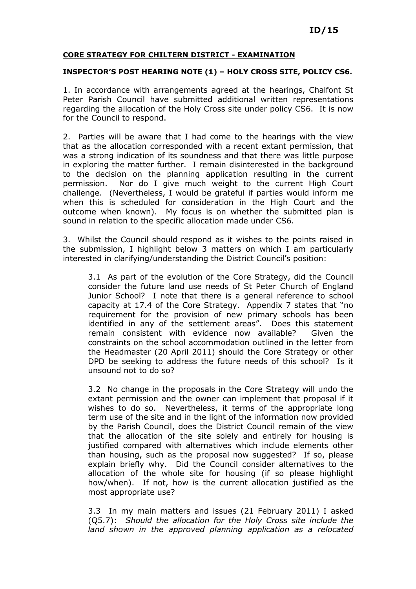## CORE STRATEGY FOR CHILTERN DISTRICT - EXAMINATION

## INSPECTOR'S POST HEARING NOTE (1) – HOLY CROSS SITE, POLICY CS6.

1. In accordance with arrangements agreed at the hearings, Chalfont St Peter Parish Council have submitted additional written representations regarding the allocation of the Holy Cross site under policy CS6. It is now for the Council to respond.

2. Parties will be aware that I had come to the hearings with the view that as the allocation corresponded with a recent extant permission, that was a strong indication of its soundness and that there was little purpose in exploring the matter further. I remain disinterested in the background to the decision on the planning application resulting in the current permission. Nor do I give much weight to the current High Court challenge. (Nevertheless, I would be grateful if parties would inform me when this is scheduled for consideration in the High Court and the outcome when known). My focus is on whether the submitted plan is sound in relation to the specific allocation made under CS6.

3. Whilst the Council should respond as it wishes to the points raised in the submission, I highlight below 3 matters on which I am particularly interested in clarifying/understanding the District Council's position:

3.1 As part of the evolution of the Core Strategy, did the Council consider the future land use needs of St Peter Church of England Junior School? I note that there is a general reference to school capacity at 17.4 of the Core Strategy. Appendix 7 states that "no requirement for the provision of new primary schools has been identified in any of the settlement areas". Does this statement remain consistent with evidence now available? Given the constraints on the school accommodation outlined in the letter from the Headmaster (20 April 2011) should the Core Strategy or other DPD be seeking to address the future needs of this school? Is it unsound not to do so?

3.2 No change in the proposals in the Core Strategy will undo the extant permission and the owner can implement that proposal if it wishes to do so. Nevertheless, it terms of the appropriate long term use of the site and in the light of the information now provided by the Parish Council, does the District Council remain of the view that the allocation of the site solely and entirely for housing is justified compared with alternatives which include elements other than housing, such as the proposal now suggested? If so, please explain briefly why. Did the Council consider alternatives to the allocation of the whole site for housing (if so please highlight how/when). If not, how is the current allocation justified as the most appropriate use?

3.3 In my main matters and issues (21 February 2011) I asked (Q5.7): Should the allocation for the Holy Cross site include the land shown in the approved planning application as a relocated